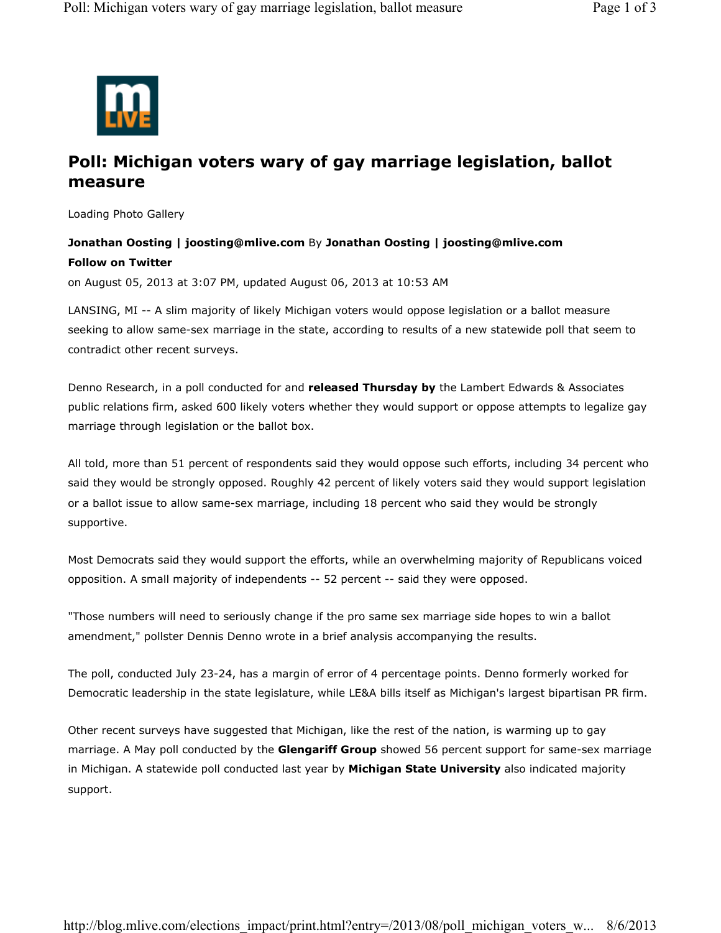

## **Poll: Michigan voters wary of gay marriage legislation, ballot measure**

Loading Photo Gallery

## **Jonathan Oosting | joosting@mlive.com** By **Jonathan Oosting | joosting@mlive.com Follow on Twitter**

on August 05, 2013 at 3:07 PM, updated August 06, 2013 at 10:53 AM

LANSING, MI -- A slim majority of likely Michigan voters would oppose legislation or a ballot measure seeking to allow same-sex marriage in the state, according to results of a new statewide poll that seem to contradict other recent surveys.

Denno Research, in a poll conducted for and **released Thursday by** the Lambert Edwards & Associates public relations firm, asked 600 likely voters whether they would support or oppose attempts to legalize gay marriage through legislation or the ballot box.

All told, more than 51 percent of respondents said they would oppose such efforts, including 34 percent who said they would be strongly opposed. Roughly 42 percent of likely voters said they would support legislation or a ballot issue to allow same-sex marriage, including 18 percent who said they would be strongly supportive.

Most Democrats said they would support the efforts, while an overwhelming majority of Republicans voiced opposition. A small majority of independents -- 52 percent -- said they were opposed.

"Those numbers will need to seriously change if the pro same sex marriage side hopes to win a ballot amendment," pollster Dennis Denno wrote in a brief analysis accompanying the results.

The poll, conducted July 23-24, has a margin of error of 4 percentage points. Denno formerly worked for Democratic leadership in the state legislature, while LE&A bills itself as Michigan's largest bipartisan PR firm.

Other recent surveys have suggested that Michigan, like the rest of the nation, is warming up to gay marriage. A May poll conducted by the **Glengariff Group** showed 56 percent support for same-sex marriage in Michigan. A statewide poll conducted last year by **Michigan State University** also indicated majority support.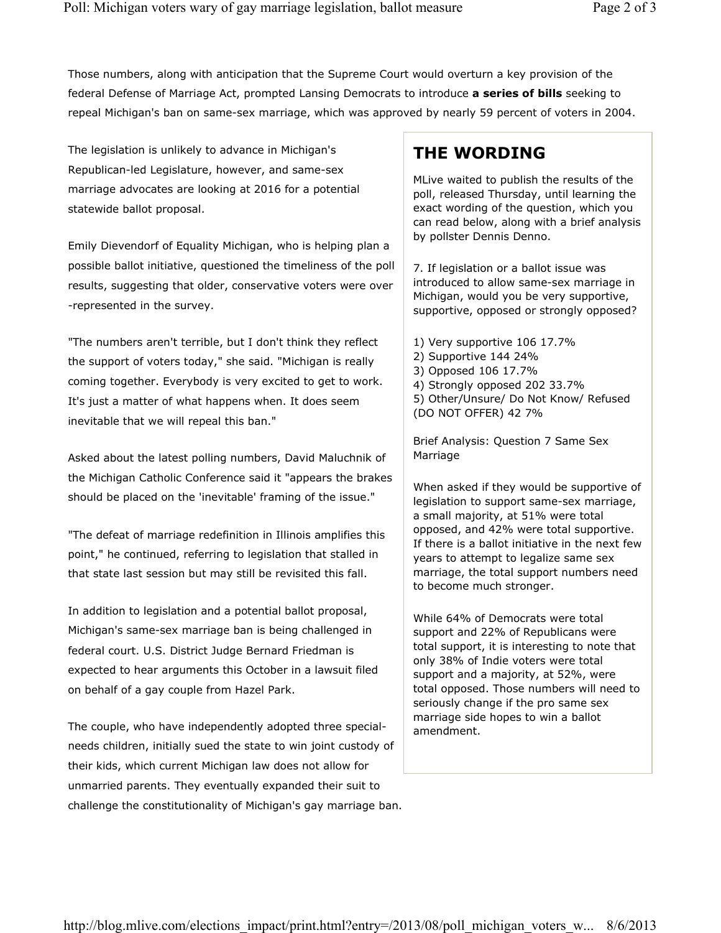Those numbers, along with anticipation that the Supreme Court would overturn a key provision of the federal Defense of Marriage Act, prompted Lansing Democrats to introduce **a series of bills** seeking to repeal Michigan's ban on same-sex marriage, which was approved by nearly 59 percent of voters in 2004.

The legislation is unlikely to advance in Michigan's Republican-led Legislature, however, and same-sex marriage advocates are looking at 2016 for a potential statewide ballot proposal.

Emily Dievendorf of Equality Michigan, who is helping plan a possible ballot initiative, questioned the timeliness of the poll results, suggesting that older, conservative voters were over -represented in the survey.

"The numbers aren't terrible, but I don't think they reflect the support of voters today," she said. "Michigan is really coming together. Everybody is very excited to get to work. It's just a matter of what happens when. It does seem inevitable that we will repeal this ban."

Asked about the latest polling numbers, David Maluchnik of the Michigan Catholic Conference said it "appears the brakes should be placed on the 'inevitable' framing of the issue."

"The defeat of marriage redefinition in Illinois amplifies this point," he continued, referring to legislation that stalled in that state last session but may still be revisited this fall.

In addition to legislation and a potential ballot proposal, Michigan's same-sex marriage ban is being challenged in federal court. U.S. District Judge Bernard Friedman is expected to hear arguments this October in a lawsuit filed on behalf of a gay couple from Hazel Park.

The couple, who have independently adopted three specialneeds children, initially sued the state to win joint custody of their kids, which current Michigan law does not allow for unmarried parents. They eventually expanded their suit to challenge the constitutionality of Michigan's gay marriage ban.

## **THE WORDING**

MLive waited to publish the results of the poll, released Thursday, until learning the exact wording of the question, which you can read below, along with a brief analysis by pollster Dennis Denno.

7. If legislation or a ballot issue was introduced to allow same-sex marriage in Michigan, would you be very supportive, supportive, opposed or strongly opposed?

1) Very supportive 106 17.7% 2) Supportive 144 24% 3) Opposed 106 17.7% 4) Strongly opposed 202 33.7% 5) Other/Unsure/ Do Not Know/ Refused (DO NOT OFFER) 42 7%

Brief Analysis: Question 7 Same Sex Marriage

When asked if they would be supportive of legislation to support same-sex marriage, a small majority, at 51% were total opposed, and 42% were total supportive. If there is a ballot initiative in the next few years to attempt to legalize same sex marriage, the total support numbers need to become much stronger.

While 64% of Democrats were total support and 22% of Republicans were total support, it is interesting to note that only 38% of Indie voters were total support and a majority, at 52%, were total opposed. Those numbers will need to seriously change if the pro same sex marriage side hopes to win a ballot amendment.